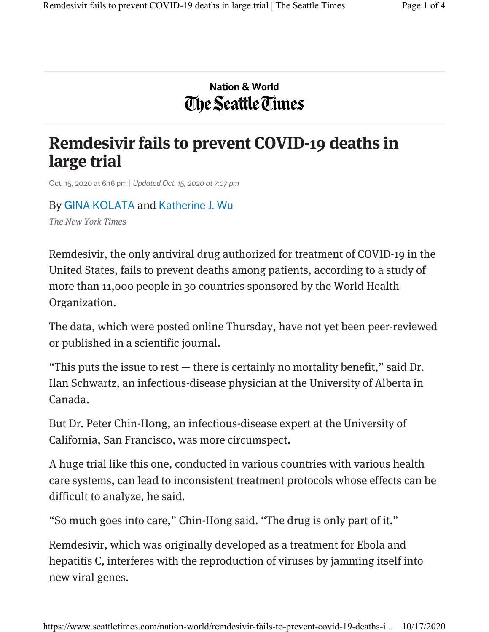## Nation & World The Seattle Times

## Remdesivir fails to prevent COVID-19 deaths in large trial

Oct. 15, 2020 at 6:16 pm | Updated Oct. 15, 2020 at 7:07 pm

By GINA KOLATA and Katherine J. Wu The New York Times

Remdesivir, the only antiviral drug authorized for treatment of COVID-19 in the United States, fails to prevent deaths among patients, according to a study of more than 11,000 people in 30 countries sponsored by the World Health

Organization.

The data, which were posted online Thursday, have not yet been peer-reviewed or published in a scientific journal.

"This puts the issue to rest — there is certainly no mortality benefit," said Dr. Ilan Schwartz, an infectious-disease physician at the University of Alberta in Canada.

But Dr. Peter Chin-Hong, an infectious-disease expert at the University of California, San Francisco, was more circumspect.

A huge trial like this one, conducted in various countries with various health care systems, can lead to inconsistent treatment protocols whose effects can be difficult to analyze, he said.

"So much goes into care," Chin-Hong said. "The drug is only part of it."

Remdesivir, which was originally developed as a treatment for Ebola and hepatitis C, interferes with the reproduction of viruses by jamming itself into new viral genes.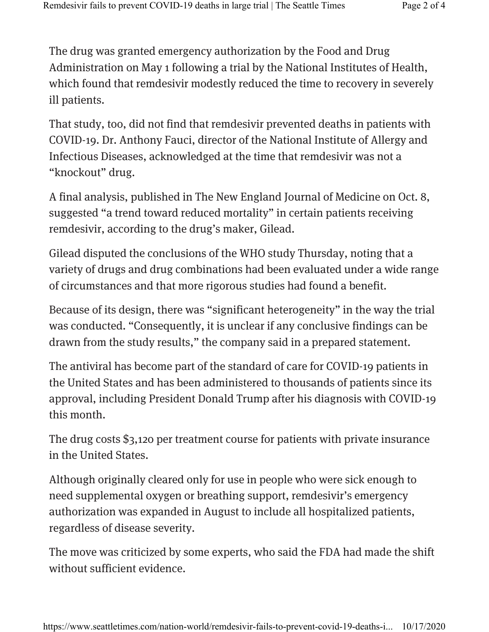The drug was granted emergency authorization by the Food and Drug Administration on May 1 following a trial by the National Institutes of Health, which found that remdesivir modestly reduced the time to recovery in severely ill patients.

That study, too, did not find that remdesivir prevented deaths in patients with COVID-19. Dr. Anthony Fauci, director of the National Institute of Allergy and Infectious Diseases, acknowledged at the time that remdesivir was not a "knockout" drug.

A final analysis, published in The New England Journal of Medicine on Oct. 8, suggested "a trend toward reduced mortality" in certain patients receiving remdesivir, according to the drug's maker, Gilead.

Gilead disputed the conclusions of the WHO study Thursday, noting that a variety of drugs and drug combinations had been evaluated under a wide range of circumstances and that more rigorous studies had found a benefit.

Because of its design, there was "significant heterogeneity" in the way the trial was conducted. "Consequently, it is unclear if any conclusive findings can be drawn from the study results," the company said in a prepared statement.

The antiviral has become part of the standard of care for COVID-19 patients in the United States and has been administered to thousands of patients since its approval, including President Donald Trump after his diagnosis with COVID-19 this month.

The drug costs \$3,120 per treatment course for patients with private insurance in the United States.

Although originally cleared only for use in people who were sick enough to need supplemental oxygen or breathing support, remdesivir's emergency authorization was expanded in August to include all hospitalized patients, regardless of disease severity.

The move was criticized by some experts, who said the FDA had made the shift without sufficient evidence.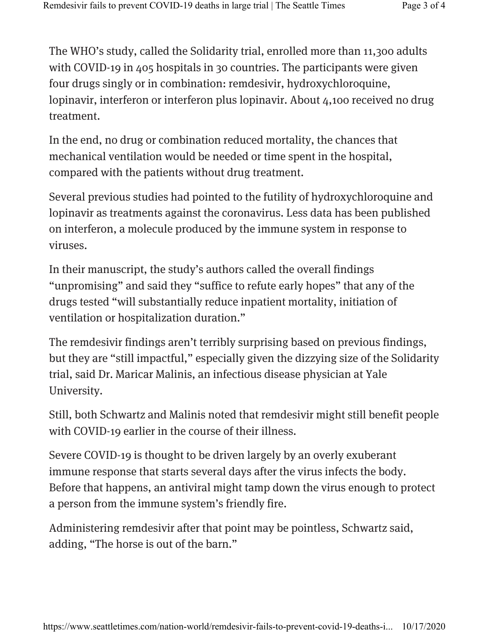The WHO's study, called the Solidarity trial, enrolled more than 11,300 adults with COVID-19 in 405 hospitals in 30 countries. The participants were given four drugs singly or in combination: remdesivir, hydroxychloroquine, lopinavir, interferon or interferon plus lopinavir. About 4,100 received no drug treatment.

In the end, no drug or combination reduced mortality, the chances that mechanical ventilation would be needed or time spent in the hospital, compared with the patients without drug treatment.

Several previous studies had pointed to the futility of hydroxychloroquine and lopinavir as treatments against the coronavirus. Less data has been published on interferon, a molecule produced by the immune system in response to viruses.

In their manuscript, the study's authors called the overall findings "unpromising" and said they "suffice to refute early hopes" that any of the drugs tested "will substantially reduce inpatient mortality, initiation of ventilation or hospitalization duration."

The remdesivir findings aren't terribly surprising based on previous findings, but they are "still impactful," especially given the dizzying size of the Solidarity trial, said Dr. Maricar Malinis, an infectious disease physician at Yale University.

Still, both Schwartz and Malinis noted that remdesivir might still benefit people with COVID-19 earlier in the course of their illness.

Severe COVID-19 is thought to be driven largely by an overly exuberant immune response that starts several days after the virus infects the body. Before that happens, an antiviral might tamp down the virus enough to protect a person from the immune system's friendly fire.

Administering remdesivir after that point may be pointless, Schwartz said, adding, "The horse is out of the barn."